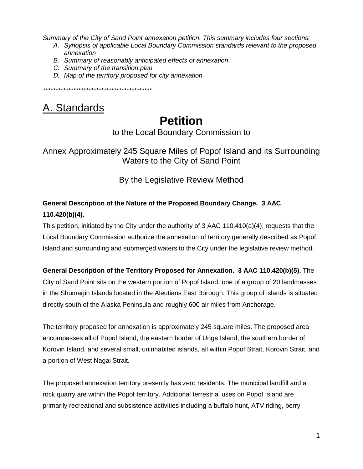*Summary of the City of Sand Point annexation petition. This summary includes four sections:*

- *A. Synopsis of applicable Local Boundary Commission standards relevant to the proposed annexation*
- *B. Summary of reasonably anticipated effects of annexation*
- *C. Summary of the transition plan*
- *D. Map of the territory proposed for city annexation*

*\*\*\*\*\*\*\*\*\*\*\*\*\*\*\*\*\*\*\*\*\*\*\*\*\*\*\*\*\*\*\*\*\*\*\*\*\*\*\*\*\*\*\**

## A. Standards

# **Petition**

to the Local Boundary Commission to

Annex Approximately 245 Square Miles of Popof Island and its Surrounding Waters to the City of Sand Point

By the Legislative Review Method

### **General Description of the Nature of the Proposed Boundary Change. 3 AAC 110.420(b)(4).**

This petition, initiated by the City under the authority of 3 AAC 110.410(a)(4), requests that the Local Boundary Commission authorize the annexation of territory generally described as Popof Island and surrounding and submerged waters to the City under the legislative review method.

### **General Description of the Territory Proposed for Annexation. 3 AAC 110.420(b)(5).** The

City of Sand Point sits on the western portion of Popof Island, one of a group of 20 landmasses in the Shumagin Islands located in the Aleutians East Borough. This group of islands is situated directly south of the Alaska Peninsula and roughly 600 air miles from Anchorage.

The territory proposed for annexation is approximately 245 square miles. The proposed area encompasses all of Popof Island, the eastern border of Unga Island, the southern border of Korovin Island, and several small, uninhabited islands, all within Popof Strait, Korovin Strait, and a portion of West Nagai Strait.

The proposed annexation territory presently has zero residents. The municipal landfill and a rock quarry are within the Popof territory. Additional terrestrial uses on Popof Island are primarily recreational and subsistence activities including a buffalo hunt, ATV riding, berry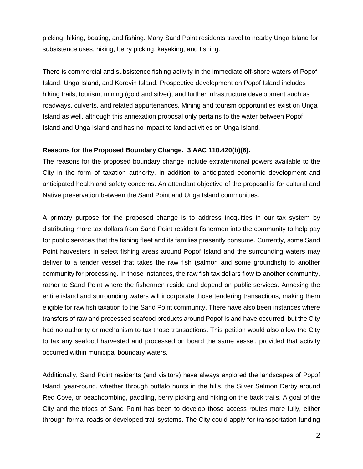picking, hiking, boating, and fishing. Many Sand Point residents travel to nearby Unga Island for subsistence uses, hiking, berry picking, kayaking, and fishing.

There is commercial and subsistence fishing activity in the immediate off-shore waters of Popof Island, Unga Island, and Korovin Island. Prospective development on Popof Island includes hiking trails, tourism, mining (gold and silver), and further infrastructure development such as roadways, culverts, and related appurtenances. Mining and tourism opportunities exist on Unga Island as well, although this annexation proposal only pertains to the water between Popof Island and Unga Island and has no impact to land activities on Unga Island.

#### **Reasons for the Proposed Boundary Change. 3 AAC 110.420(b)(6).**

The reasons for the proposed boundary change include extraterritorial powers available to the City in the form of taxation authority, in addition to anticipated economic development and anticipated health and safety concerns. An attendant objective of the proposal is for cultural and Native preservation between the Sand Point and Unga Island communities.

A primary purpose for the proposed change is to address inequities in our tax system by distributing more tax dollars from Sand Point resident fishermen into the community to help pay for public services that the fishing fleet and its families presently consume. Currently, some Sand Point harvesters in select fishing areas around Popof Island and the surrounding waters may deliver to a tender vessel that takes the raw fish (salmon and some groundfish) to another community for processing. In those instances, the raw fish tax dollars flow to another community, rather to Sand Point where the fishermen reside and depend on public services. Annexing the entire island and surrounding waters will incorporate those tendering transactions, making them eligible for raw fish taxation to the Sand Point community. There have also been instances where transfers of raw and processed seafood products around Popof Island have occurred, but the City had no authority or mechanism to tax those transactions. This petition would also allow the City to tax any seafood harvested and processed on board the same vessel, provided that activity occurred within municipal boundary waters.

Additionally, Sand Point residents (and visitors) have always explored the landscapes of Popof Island, year-round, whether through buffalo hunts in the hills, the Silver Salmon Derby around Red Cove, or beachcombing, paddling, berry picking and hiking on the back trails. A goal of the City and the tribes of Sand Point has been to develop those access routes more fully, either through formal roads or developed trail systems. The City could apply for transportation funding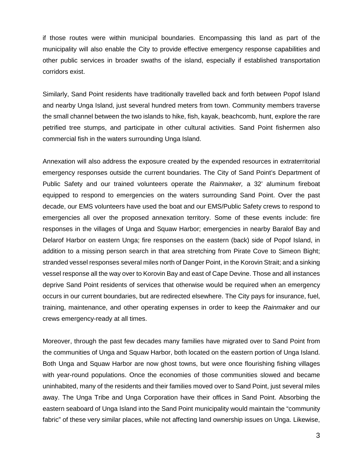if those routes were within municipal boundaries. Encompassing this land as part of the municipality will also enable the City to provide effective emergency response capabilities and other public services in broader swaths of the island, especially if established transportation corridors exist.

Similarly, Sand Point residents have traditionally travelled back and forth between Popof Island and nearby Unga Island, just several hundred meters from town. Community members traverse the small channel between the two islands to hike, fish, kayak, beachcomb, hunt, explore the rare petrified tree stumps, and participate in other cultural activities. Sand Point fishermen also commercial fish in the waters surrounding Unga Island.

Annexation will also address the exposure created by the expended resources in extraterritorial emergency responses outside the current boundaries. The City of Sand Point's Department of Public Safety and our trained volunteers operate the *Rainmaker,* a 32' aluminum fireboat equipped to respond to emergencies on the waters surrounding Sand Point. Over the past decade, our EMS volunteers have used the boat and our EMS/Public Safety crews to respond to emergencies all over the proposed annexation territory. Some of these events include: fire responses in the villages of Unga and Squaw Harbor; emergencies in nearby Baralof Bay and Delarof Harbor on eastern Unga; fire responses on the eastern (back) side of Popof Island, in addition to a missing person search in that area stretching from Pirate Cove to Simeon Bight; stranded vessel responses several miles north of Danger Point, in the Korovin Strait; and a sinking vessel response all the way over to Korovin Bay and east of Cape Devine. Those and all instances deprive Sand Point residents of services that otherwise would be required when an emergency occurs in our current boundaries, but are redirected elsewhere. The City pays for insurance, fuel, training, maintenance, and other operating expenses in order to keep the *Rainmaker* and our crews emergency-ready at all times.

Moreover, through the past few decades many families have migrated over to Sand Point from the communities of Unga and Squaw Harbor, both located on the eastern portion of Unga Island. Both Unga and Squaw Harbor are now ghost towns, but were once flourishing fishing villages with year-round populations. Once the economies of those communities slowed and became uninhabited, many of the residents and their families moved over to Sand Point, just several miles away. The Unga Tribe and Unga Corporation have their offices in Sand Point. Absorbing the eastern seaboard of Unga Island into the Sand Point municipality would maintain the "community fabric" of these very similar places, while not affecting land ownership issues on Unga. Likewise,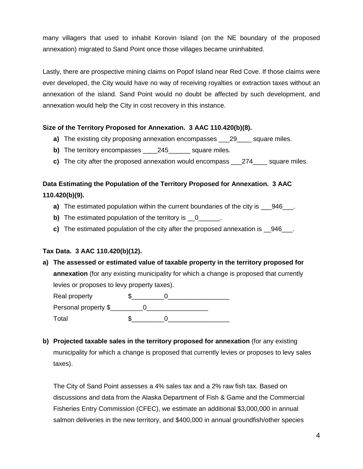many villagers that used to inhabit Korovin Island (on the NE boundary of the proposed annexation) migrated to Sand Point once those villages became uninhabited.

Lastly, there are prospective mining claims on Popof Island near Red Cove. If those claims were ever developed, the City would have no way of receiving royalties or extraction taxes without an annexation of the island. Sand Point would no doubt be affected by such development, and annexation would help the City in cost recovery in this instance.

#### **Size of the Territory Proposed for Annexation. 3 AAC 110.420(b)(8).**

- **a)** The existing city proposing annexation encompasses \_\_\_29\_\_\_\_ square miles.
- **b)** The territory encompasses 245 square miles.
- **c)** The city after the proposed annexation would encompass \_\_\_274\_\_\_\_ square miles.

### **Data Estimating the Population of the Territory Proposed for Annexation. 3 AAC 110.420(b)(9).**

- **a)** The estimated population within the current boundaries of the city is  $\overline{a}$  946.
- **b)** The estimated population of the territory is 0
- **c)** The estimated population of the city after the proposed annexation is \_\_946\_\_\_.

### **Tax Data. 3 AAC 110.420(b)(12).**

**a) The assessed or estimated value of taxable property in the territory proposed for annexation** (for any existing municipality for which a change is proposed that currently levies or proposes to levy property taxes).

| Real property        |  |  |
|----------------------|--|--|
| Personal property \$ |  |  |
| Total                |  |  |

**b) Projected taxable sales in the territory proposed for annexation** (for any existing municipality for which a change is proposed that currently levies or proposes to levy sales taxes).

The City of Sand Point assesses a 4% sales tax and a 2% raw fish tax. Based on discussions and data from the Alaska Department of Fish & Game and the Commercial Fisheries Entry Commission (CFEC), we estimate an additional \$3,000,000 in annual salmon deliveries in the new territory, and \$400,000 in annual groundfish/other species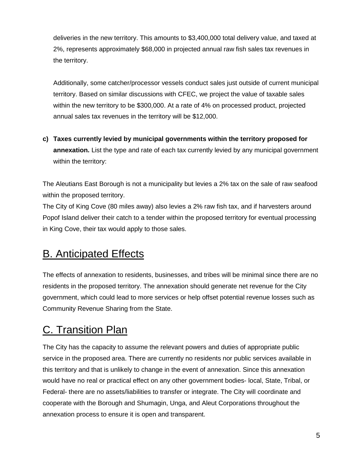deliveries in the new territory. This amounts to \$3,400,000 total delivery value, and taxed at 2%, represents approximately \$68,000 in projected annual raw fish sales tax revenues in the territory.

Additionally, some catcher/processor vessels conduct sales just outside of current municipal territory. Based on similar discussions with CFEC, we project the value of taxable sales within the new territory to be \$300,000. At a rate of 4% on processed product, projected annual sales tax revenues in the territory will be \$12,000.

**c) Taxes currently levied by municipal governments within the territory proposed for annexation.** List the type and rate of each tax currently levied by any municipal government within the territory:

The Aleutians East Borough is not a municipality but levies a 2% tax on the sale of raw seafood within the proposed territory.

The City of King Cove (80 miles away) also levies a 2% raw fish tax, and if harvesters around Popof Island deliver their catch to a tender within the proposed territory for eventual processing in King Cove, their tax would apply to those sales.

## B. Anticipated Effects

The effects of annexation to residents, businesses, and tribes will be minimal since there are no residents in the proposed territory. The annexation should generate net revenue for the City government, which could lead to more services or help offset potential revenue losses such as Community Revenue Sharing from the State.

## C. Transition Plan

The City has the capacity to assume the relevant powers and duties of appropriate public service in the proposed area. There are currently no residents nor public services available in this territory and that is unlikely to change in the event of annexation. Since this annexation would have no real or practical effect on any other government bodies- local, State, Tribal, or Federal- there are no assets/liabilities to transfer or integrate. The City will coordinate and cooperate with the Borough and Shumagin, Unga, and Aleut Corporations throughout the annexation process to ensure it is open and transparent.